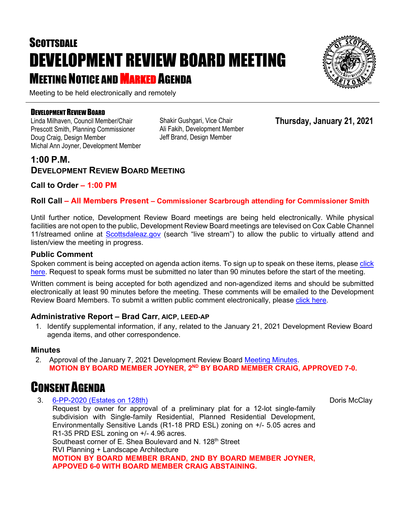# **SCOTTSDALE** DEVELOPMENT REVIEW BOARD MEETING **MEETING NOTICE AND MARKED AGENDA**

Meeting to be held electronically and remotely

#### DEVELOPMENT REVIEW BOARD

Linda Milhaven, Council Member/Chair Prescott Smith, Planning Commissioner Doug Craig, Design Member Michal Ann Joyner, Development Member Shakir Gushgari, Vice Chair Ali Fakih, Development Member Jeff Brand, Design Member

**Thursday, January 21, 2021**

### **1:00 P.M. DEVELOPMENT REVIEW BOARD MEETING**

**Call to Order – 1:00 PM**

#### **Roll Call – All Members Present – Commissioner Scarbrough attending for Commissioner Smith**

Until further notice, Development Review Board meetings are being held electronically. While physical facilities are not open to the public, Development Review Board meetings are televised on Cox Cable Channel 11/streamed online at [Scottsdaleaz.gov](https://www.scottsdaleaz.gov/) (search "live stream") to allow the public to virtually attend and listen/view the meeting in progress.

#### **Public Comment**

Spoken comment is being accepted on agenda action items. To sign up to speak on these items, please click [here.](https://www.scottsdaleaz.gov/boards/development-review-board/spoken-comment) Request to speak forms must be submitted no later than 90 minutes before the start of the meeting.

Written comment is being accepted for both agendized and non-agendized items and should be submitted electronically at least 90 minutes before the meeting. These comments will be emailed to the Development Review Board Members. To submit a written public comment electronically, please [click here.](https://www.scottsdaleaz.gov/boards/development-review-board/public-comment)

#### **Administrative Report – Brad Carr, AICP, LEED-AP**

1. Identify supplemental information, if any, related to the January 21, 2021 Development Review Board agenda items, and other correspondence.

#### **Minutes**

2. Approval of the January 7, 2021 Development Review Board [Meeting Minutes.](https://eservices.scottsdaleaz.gov/planning/projectsummary/unrelated_documents/DRB_MEETING_MINUTES_01072021.pdf) **MOTION BY BOARD MEMBER JOYNER, 2ND BY BOARD MEMBER CRAIG, APPROVED 7-0.**

### CONSENT AGENDA

3. [6-PP-2020 \(Estates on 128th\)](https://eservices.scottsdaleaz.gov/planning/projectsummary/dr_reports/DR_6_PP_2020.pdf)

Request by owner for approval of a preliminary plat for a 12-lot single-family subdivision with Single-family Residential, Planned Residential Development, Environmentally Sensitive Lands (R1-18 PRD ESL) zoning on +/- 5.05 acres and R1-35 PRD ESL zoning on +/- 4.96 acres. Southeast corner of E. Shea Boulevard and N. 128<sup>th</sup> Street RVI Planning + Landscape Architecture **MOTION BY BOARD MEMBER BRAND, 2ND BY BOARD MEMBER JOYNER, APPOVED 6-0 WITH BOARD MEMBER CRAIG ABSTAINING.**

Doris McClay

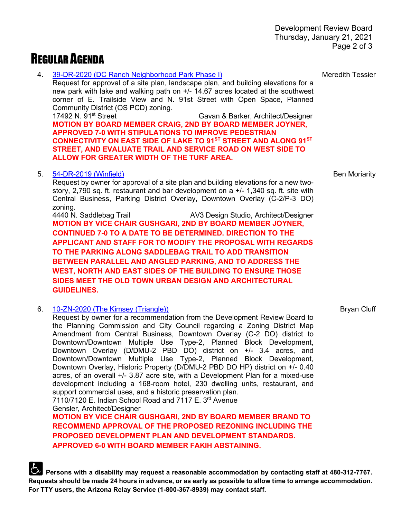## REGULAR AGENDA

4. [39-DR-2020 \(DC Ranch Neighborhood Park Phase I\)](https://eservices.scottsdaleaz.gov/planning/projectsummary/dr_reports/DR_39_DR_2020.pdf)

Request for approval of a site plan, landscape plan, and building elevations for a new park with lake and walking path on +/- 14.67 acres located at the southwest corner of E. Trailside View and N. 91st Street with Open Space, Planned Community District (OS PCD) zoning.<br>17492 N. 91<sup>st</sup> Street

Gavan & Barker, Architect/Designer **MOTION BY BOARD MEMBER CRAIG, 2ND BY BOARD MEMBER JOYNER, APPROVED 7-0 WITH STIPULATIONS TO IMPROVE PEDESTRIAN CONNECTIVITY ON EAST SIDE OF LAKE TO 91ST STREET AND ALONG 91ST STREET, AND EVALUATE TRAIL AND SERVICE ROAD ON WEST SIDE TO ALLOW FOR GREATER WIDTH OF THE TURF AREA.**

#### 5. [54-DR-2019 \(Winfield\)](https://eservices.scottsdaleaz.gov/planning/projectsummary/dr_reports/DR_54_DR_2019.pdf)

Request by owner for approval of a site plan and building elevations for a new twostory, 2,790 sq. ft. restaurant and bar development on a +/- 1,340 sq. ft. site with Central Business, Parking District Overlay, Downtown Overlay (C-2/P-3 DO) zoning.

4440 N. Saddlebag Trail AV3 Design Studio, Architect/Designer **MOTION BY VICE CHAIR GUSHGARI, 2ND BY BOARD MEMBER JOYNER, CONTINUED 7-0 TO A DATE TO BE DETERMINED. DIRECTION TO THE APPLICANT AND STAFF FOR TO MODIFY THE PROPOSAL WITH REGARDS TO THE PARKING ALONG SADDLEBAG TRAIL TO ADD TRANSITION BETWEEN PARALLEL AND ANGLED PARKING, AND TO ADDRESS THE WEST, NORTH AND EAST SIDES OF THE BUILDING TO ENSURE THOSE SIDES MEET THE OLD TOWN URBAN DESIGN AND ARCHITECTURAL GUIDELINES.**

6. [10-ZN-2020 \(The Kimsey \(Triangle\)\)](https://eservices.scottsdaleaz.gov/planning/projectsummary/dr_reports/DR_10_ZN_2020.pdf)

Request by owner for a recommendation from the Development Review Board to the Planning Commission and City Council regarding a Zoning District Map Amendment from Central Business, Downtown Overlay (C-2 DO) district to Downtown/Downtown Multiple Use Type-2, Planned Block Development, Downtown Overlay (D/DMU-2 PBD DO) district on +/- 3.4 acres, and Downtown/Downtown Multiple Use Type-2, Planned Block Development, Downtown Overlay, Historic Property (D/DMU-2 PBD DO HP) district on +/- 0.40 acres, of an overall +/- 3.87 acre site, with a Development Plan for a mixed-use development including a 168-room hotel, 230 dwelling units, restaurant, and support commercial uses, and a historic preservation plan. 7110/7120 E. Indian School Road and 7117 E. 3rd Avenue

Gensler, Architect/Designer

**MOTION BY VICE CHAIR GUSHGARI, 2ND BY BOARD MEMBER BRAND TO RECOMMEND APPROVAL OF THE PROPOSED REZONING INCLUDING THE PROPOSED DEVELOPMENT PLAN AND DEVELOPMENT STANDARDS. APPROVED 6-0 WITH BOARD MEMBER FAKIH ABSTAINING.**

**Persons with a disability may request a reasonable accommodation by contacting staff at 480-312-7767. Requests should be made 24 hours in advance, or as early as possible to allow time to arrange accommodation. For TTY users, the Arizona Relay Service (1-800-367-8939) may contact staff.**

Meredith Tessier

Ben Moriarity

Bryan Cluff